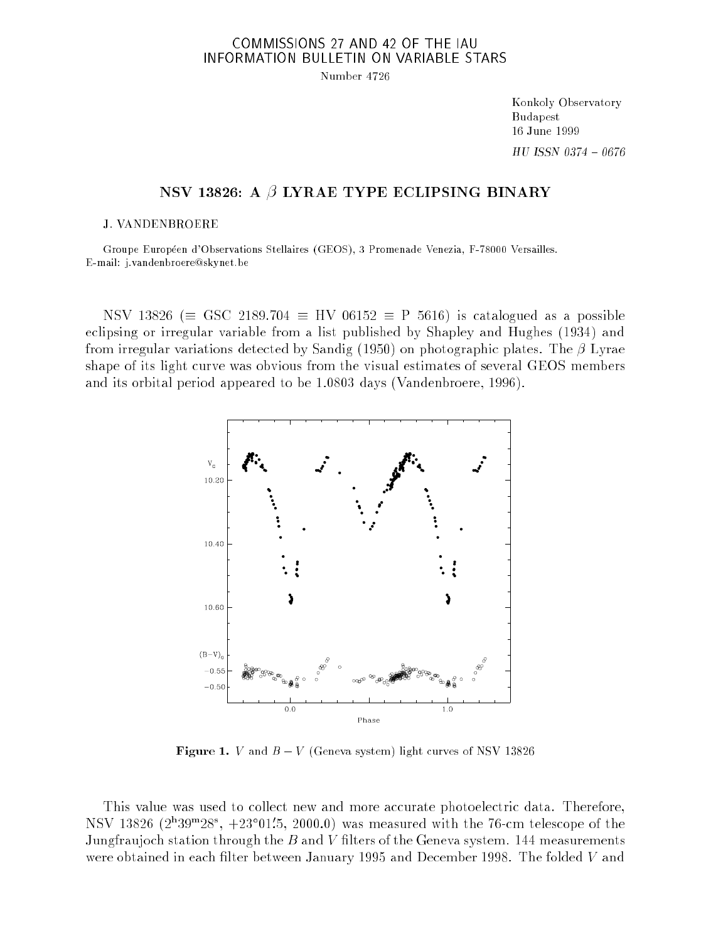## COMMISSIONS 27 AND 42 OF THE IAU INFORMATION BULLETIN ON VARIABLE STARS

Number 4726

Konkoly Observatory Budapest 16 June 1999  $HU$  ISSN  $0374 - 0676$ 

## NSV 13826: A  $\beta$  LYRAE TYPE ECLIPSING BINARY

## J. VANDENBROERE

Groupe Européen d'Observations Stellaires (GEOS), 3 Promenade Venezia, F-78000 Versailles. E-mail: j.vandenbroere@skynet.be

NSV 13826 ( $\equiv$  GSC 2189.704  $\equiv$  HV 06152  $\equiv$  P 5616) is catalogued as a possible eclipsing or irregular variable from a list published by Shapley and Hughes (1934) and from irregular variations detected by Sandig (1950) on photographic plates. The  $\beta$  Lyrae shape of its light curve was obvious from the visual estimates of several GEOS members and its orbital period appeared to be 1.0803 days (Vandenbroere, 1996).



Figure 1. <sup>V</sup> and <sup>B</sup> <sup>V</sup> (Geneva system) light curves of NSV 13826

This value was used to collect new and more accurate photoelectric data. Therefore, NSV 13820 (2 39  $\sim$  28 ,  $\pm$  23 UL. 3, 2000.0) was measured with the 76-cm telescope of the Jungfraujoch station through the  $B$  and V filters of the Geneva system. 144 measurements were obtained in each filter between January 1995 and December 1998. The folded  $V$  and